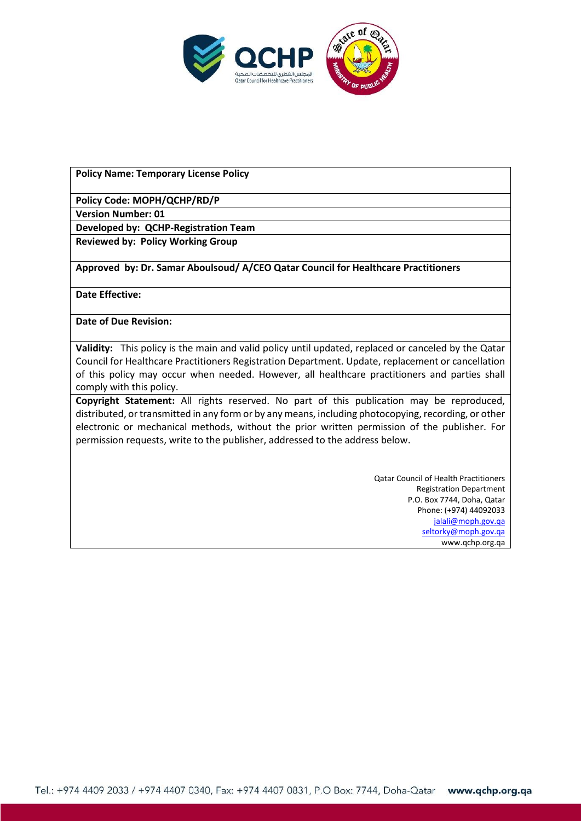

**Policy Name: Temporary License Policy**

**Policy Code: MOPH/QCHP/RD/P**

**Version Number: 01**

**Developed by: QCHP-Registration Team**

**Reviewed by: Policy Working Group**

**Approved by: Dr. Samar Aboulsoud/ A/CEO Qatar Council for Healthcare Practitioners**

**Date Effective:** 

**Date of Due Revision:** 

**Validity:** This policy is the main and valid policy until updated, replaced or canceled by the Qatar Council for Healthcare Practitioners Registration Department. Update, replacement or cancellation of this policy may occur when needed. However, all healthcare practitioners and parties shall comply with this policy.

**Copyright Statement:** All rights reserved. No part of this publication may be reproduced, distributed, or transmitted in any form or by any means, including photocopying, recording, or other electronic or mechanical methods, without the prior written permission of the publisher. For permission requests, write to the publisher, addressed to the address below.

> Qatar Council of Health Practitioners Registration Department P.O. Box 7744, Doha, Qatar Phone: (+974) 44092033 [jalali@moph.gov.qa](mailto:jalali@moph.gov.qa) [seltorky@moph.gov.qa](mailto:seltorky@moph.gov.qa) www.qchp.org.qa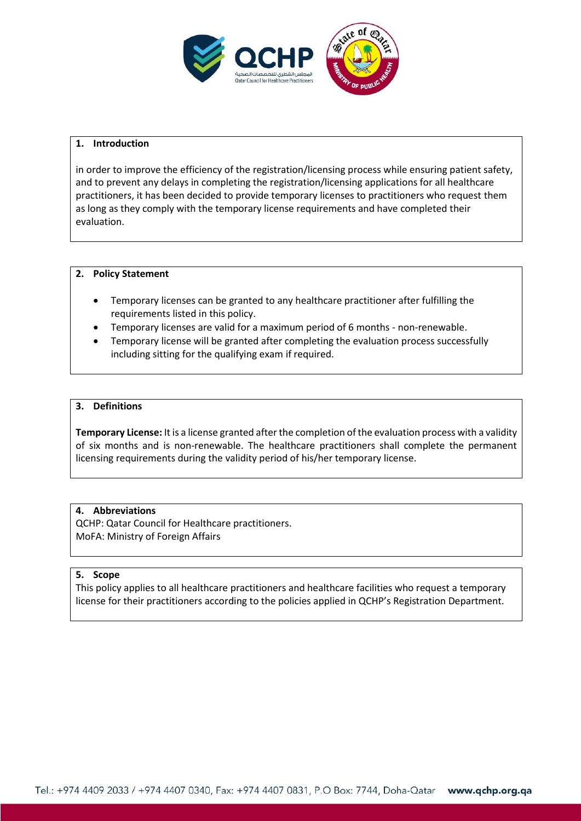

#### **1. Introduction**

in order to improve the efficiency of the registration/licensing process while ensuring patient safety, and to prevent any delays in completing the registration/licensing applications for all healthcare practitioners, it has been decided to provide temporary licenses to practitioners who request them as long as they comply with the temporary license requirements and have completed their evaluation.

#### **2. Policy Statement**

- Temporary licenses can be granted to any healthcare practitioner after fulfilling the requirements listed in this policy.
- Temporary licenses are valid for a maximum period of 6 months non-renewable.
- Temporary license will be granted after completing the evaluation process successfully including sitting for the qualifying exam if required.

### **3. Definitions**

**Temporary License:** It is a license granted after the completion of the evaluation process with a validity of six months and is non-renewable. The healthcare practitioners shall complete the permanent licensing requirements during the validity period of his/her temporary license.

#### **4. Abbreviations**

QCHP: Qatar Council for Healthcare practitioners. MoFA: Ministry of Foreign Affairs

#### **5. Scope**

This policy applies to all healthcare practitioners and healthcare facilities who request a temporary license for their practitioners according to the policies applied in QCHP's Registration Department.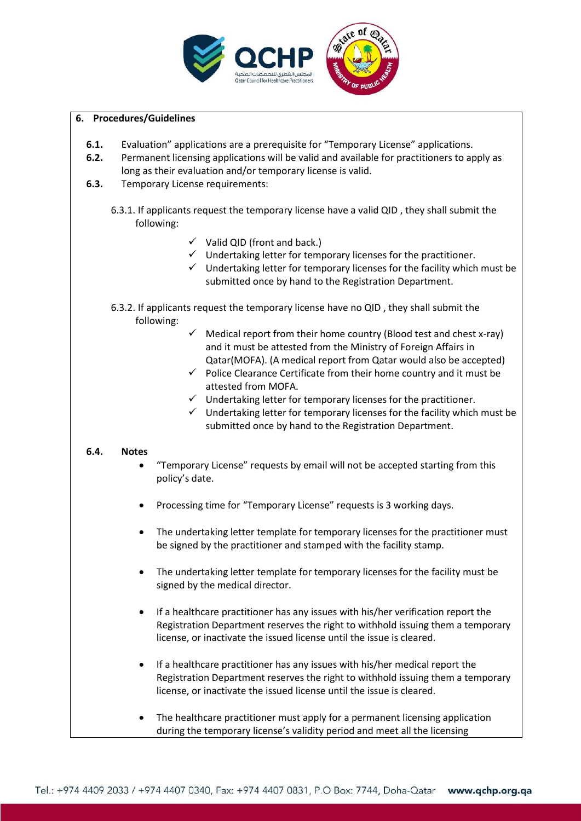

# **6. Procedures/Guidelines**

- **6.1.** Evaluation" applications are a prerequisite for "Temporary License" applications.
- **6.2.** Permanent licensing applications will be valid and available for practitioners to apply as long as their evaluation and/or temporary license is valid.
- **6.3.** Temporary License requirements:
	- 6.3.1. If applicants request the temporary license have a valid QID , they shall submit the following:
		- $\checkmark$  Valid QID (front and back.)
		- $\checkmark$  Undertaking letter for temporary licenses for the practitioner.
		- $\checkmark$  Undertaking letter for temporary licenses for the facility which must be submitted once by hand to the Registration Department.
	- 6.3.2. If applicants request the temporary license have no QID , they shall submit the following:
		- $\checkmark$  Medical report from their home country (Blood test and chest x-ray) and it must be attested from the Ministry of Foreign Affairs in Qatar(MOFA). (A medical report from Qatar would also be accepted)
		- $\checkmark$  Police Clearance Certificate from their home country and it must be attested from MOFA.
		- $\checkmark$  Undertaking letter for temporary licenses for the practitioner.
		- $\checkmark$  Undertaking letter for temporary licenses for the facility which must be submitted once by hand to the Registration Department.

#### **6.4. Notes**

- "Temporary License" requests by email will not be accepted starting from this policy's date.
- Processing time for "Temporary License" requests is 3 working days.
- The undertaking letter template for temporary licenses for the practitioner must be signed by the practitioner and stamped with the facility stamp.
- The undertaking letter template for temporary licenses for the facility must be signed by the medical director.
- If a healthcare practitioner has any issues with his/her verification report the Registration Department reserves the right to withhold issuing them a temporary license, or inactivate the issued license until the issue is cleared.
- If a healthcare practitioner has any issues with his/her medical report the Registration Department reserves the right to withhold issuing them a temporary license, or inactivate the issued license until the issue is cleared.
- The healthcare practitioner must apply for a permanent licensing application during the temporary license's validity period and meet all the licensing